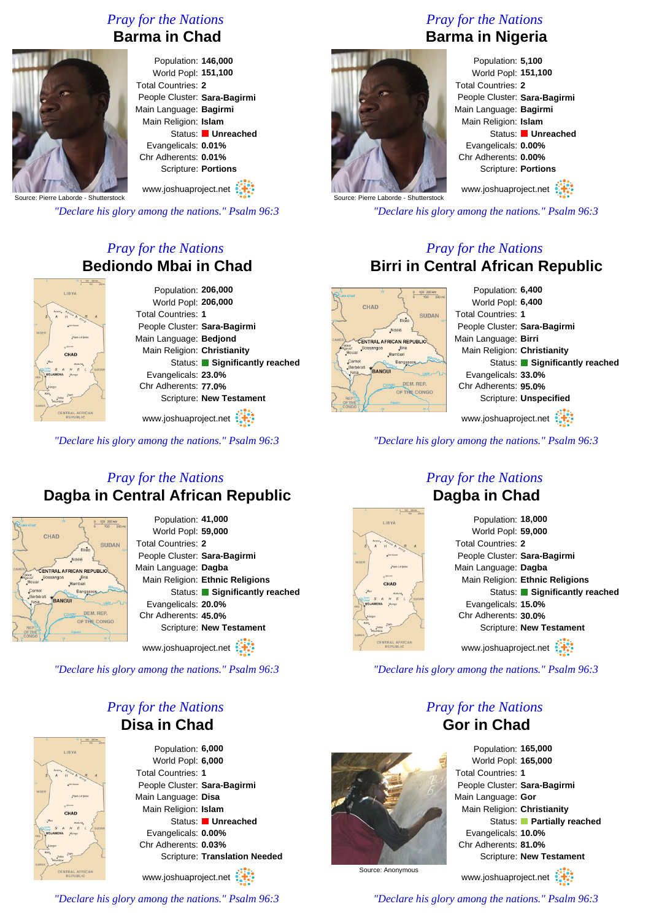# *Pray for the Nations* **Barma in Chad**



#### Population: **146,000** World Popl: **151,100** Total Countries: **2** People Cluster: **Sara-Bagirmi** Main Language: **Bagirmi** Main Religion: **Islam** Status: **Unreached** Evangelicals: **0.01%** Chr Adherents: **0.01%** Scripture: **Portions**

Source: Pierre Laborde - Shutterstock www.joshuaproject.net

*"Declare his glory among the nations." Psalm 96:3*

# *Pray for the Nations* **Bediondo Mbai in Chad**

| LIBYA                    | Population: 206,000           |
|--------------------------|-------------------------------|
|                          | World Popl: 206,000           |
| <b>OROU A</b>            | <b>Total Countries: 1</b>     |
| <b>Eni Kouse</b>         | People Cluster: Sara-Bagirmi  |
| Faya-Largeau             | Main Language: Bedjond        |
| va Diromo<br><b>CHAD</b> | Main Religion: Christianity   |
| Abdelbi                  | Status: Significantly reached |
| SUDAN                    | Evangelicals: 23.0%           |
|                          | Chr Adherents: 77.0%          |
| San<br>Doba<br>sundor    | Scripture: New Testament      |
| TRAL AFRICAN             |                               |

www.joshuaproject.net

*"Declare his glory among the nations." Psalm 96:3*

# *Pray for the Nations* **Dagba in Central African Republic**



Population: **41,000** World Popl: **59,000** Total Countries: **2** People Cluster: **Sara-Bagirmi** Main Language: **Dagba** Main Religion: **Ethnic Religions** Status: **Significantly reached** Evangelicals: **20.0%** Chr Adherents: **45.0%** Scripture: **New Testament**

www.joshuaproject.net

*"Declare his glory among the nations." Psalm 96:3*

# *Pray for the Nations* **Disa in Chad**



Population: **6,000** World Popl: **6,000** Total Countries: **1** People Cluster: **Sara-Bagirmi** Main Language: **Disa** Main Religion: **Islam** Status: **Unreached** Evangelicals: **0.00%** Chr Adherents: **0.03%** Scripture: **Translation Needed**

www.joshuaproject.net

*"Declare his glory among the nations." Psalm 96:3*

# *Pray for the Nations* **Barma in Nigeria**



Population: **5,100** World Popl: **151,100** Total Countries: **2** People Cluster: **Sara-Bagirmi** Main Language: **Bagirmi** Main Religion: **Islam** Status: **Unreached** Evangelicals: **0.00%** Chr Adherents: **0.00%** Scripture: **Portions**

www.joshuaproject.net

*"Declare his glory among the nations." Psalm 96:3*

# *Pray for the Nations* **Birri in Central African Republic**



*"Declare his glory among the nations." Psalm 96:3*

# **LIBYA**

### *Pray for the Nations* **Dagba in Chad**

| Population: 18,000              |
|---------------------------------|
| World Popl: 59,000              |
| Total Countries: 2              |
| People Cluster: Sara-Bagirmi    |
| Main Language: Dagba            |
| Main Religion: Ethnic Religions |
| Status: Significantly reached   |
| Evangelicals: 15.0%             |
| Chr Adherents: 30.0%            |
| Scripture: New Testament        |
| www.joshuaproject.net           |

*"Declare his glory among the nations." Psalm 96:3*

# *Pray for the Nations* **Gor in Chad**



Population: **165,000** World Popl: **165,000** Total Countries: **1** People Cluster: **Sara-Bagirmi** Main Language: **Gor** Main Religion: **Christianity** Status: **Partially reached** Evangelicals: **10.0%** Chr Adherents: **81.0%** Scripture: **New Testament**

Source: Anonymous

www.joshuaproject.net *"Declare his glory among the nations." Psalm 96:3*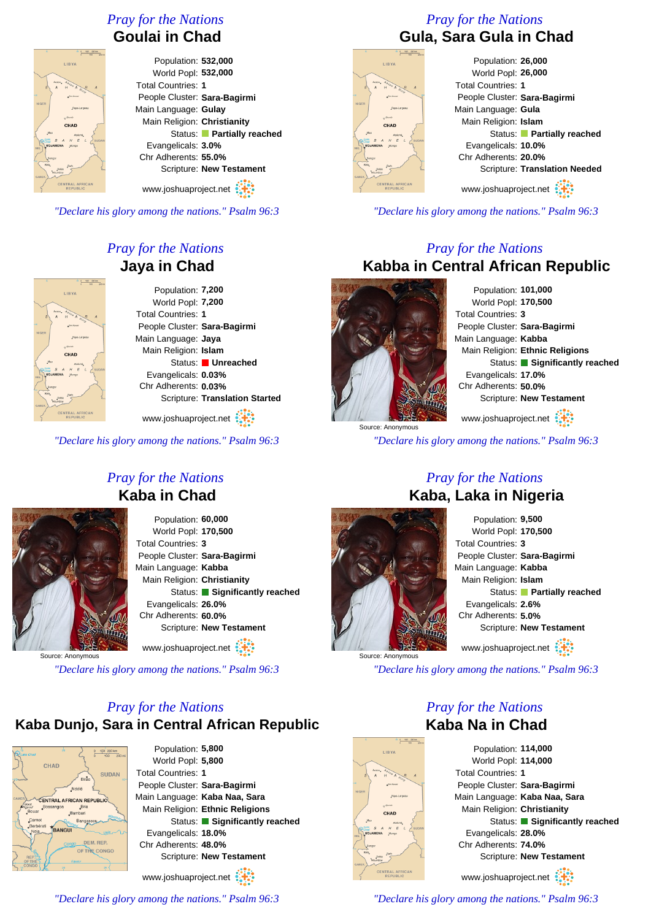# *Pray for the Nations*

# **Goulai in Chad**



Population: **532,000** World Popl: **532,000** Total Countries: **1** People Cluster: **Sara-Bagirmi** Main Language: **Gulay** Main Religion: **Christianity** Status: **Partially reached** Evangelicals: **3.0%** Chr Adherents: **55.0%** Scripture: **New Testament**

www.joshuaproject.net

*"Declare his glory among the nations." Psalm 96:3*

# LIBY/ CHAD

### *Pray for the Nations* **Jaya in Chad**

Population: **7,200** World Popl: **7,200** Total Countries: **1** People Cluster: **Sara-Bagirmi** Main Language: **Jaya** Main Religion: **Islam** Status: **Unreached** Evangelicals: **0.03%** Chr Adherents: **0.03%** Scripture: **Translation Started**

www.joshuaproject.net

*"Declare his glory among the nations." Psalm 96:3*



*Pray for the Nations* **Kaba in Chad**

> Population: **60,000** World Popl: **170,500** Total Countries: **3** People Cluster: **Sara-Bagirmi** Main Language: **Kabba** Main Religion: **Christianity** Status: **Significantly reached** Evangelicals: **26.0%** Chr Adherents: **60.0%** Scripture: **New Testament** www.joshuaproject.net

Source: Anonymous

*"Declare his glory among the nations." Psalm 96:3*

# *Pray for the Nations* **Kaba Dunjo, Sara in Central African Republic**



Population: **5,800** World Popl: **5,800** Total Countries: **1** People Cluster: **Sara-Bagirmi** Main Language: **Kaba Naa, Sara** Main Religion: **Ethnic Religions** Status: **Significantly reached** Evangelicals: **18.0%** Chr Adherents: **48.0%** Scripture: **New Testament** www.joshuaproject.net

*"Declare his glory among the nations." Psalm 96:3*

# *Pray for the Nations* **Gula, Sara Gula in Chad**

| LIBYA                                         |
|-----------------------------------------------|
|                                               |
|                                               |
|                                               |
| ACCOU, $\frac{4020U}{H}$ A $\frac{E}{S}$<br>A |
| $-20$<br>Eni Koussi                           |
|                                               |
| <b>NIGER</b><br>Faya-Largeau                  |
|                                               |
|                                               |
| ey Djourad                                    |
|                                               |
| CHAD                                          |
| Mao<br>Abéché                                 |
| SUDAN<br>$\frac{100}{200}$ S A H E L          |
| NDJAMENA Mongo                                |
| NIG.                                          |
| Bongor                                        |
|                                               |
| Kélo <sub>s</sub><br>Sarh<br>Doba             |
| Moundou<br><b>CAMER</b>                       |
|                                               |
| <b>CENTRAL AFRICAN</b><br><b>REPUBLIC</b>     |

#### Population: **26,000** World Popl: **26,000** Total Countries: **1** People Cluster: **Sara-Bagirmi** Main Language: **Gula** Main Religion: **Islam** Status: **Partially reached** Evangelicals: **10.0%** Chr Adherents: **20.0%** Scripture: **Translation Needed** www.joshuaproject.net

*"Declare his glory among the nations." Psalm 96:3*

# *Pray for the Nations* **Kabba in Central African Republic**

Source: Anonymous

Population: **101,000** World Popl: **170,500** Total Countries: **3** People Cluster: **Sara-Bagirmi** Main Language: **Kabba** Main Religion: **Ethnic Religions** Status: **Significantly reached** Evangelicals: **17.0%** Chr Adherents: **50.0%** Scripture: **New Testament** www.joshuaproject.net

*"Declare his glory among the nations." Psalm 96:3*



# *Pray for the Nations* **Kaba, Laka in Nigeria**

Population: **9,500** World Popl: **170,500** Total Countries: **3** People Cluster: **Sara-Bagirmi** Main Language: **Kabba** Main Religion: **Islam** Status: **Partially reached** Evangelicals: **2.6%** Chr Adherents: **5.0%** Scripture: **New Testament** www.joshuaproject.net

*"Declare his glory among the nations." Psalm 96:3*

### *Pray for the Nations* **Kaba Na in Chad**

Population: **114,000** World Popl: **114,000** Total Countries: **1** People Cluster: **Sara-Bagirmi** Main Language: **Kaba Naa, Sara** Main Religion: **Christianity** Status: **Significantly reached** Evangelicals: **28.0%** Chr Adherents: **74.0%** Scripture: **New Testament** www.joshuaproject.net

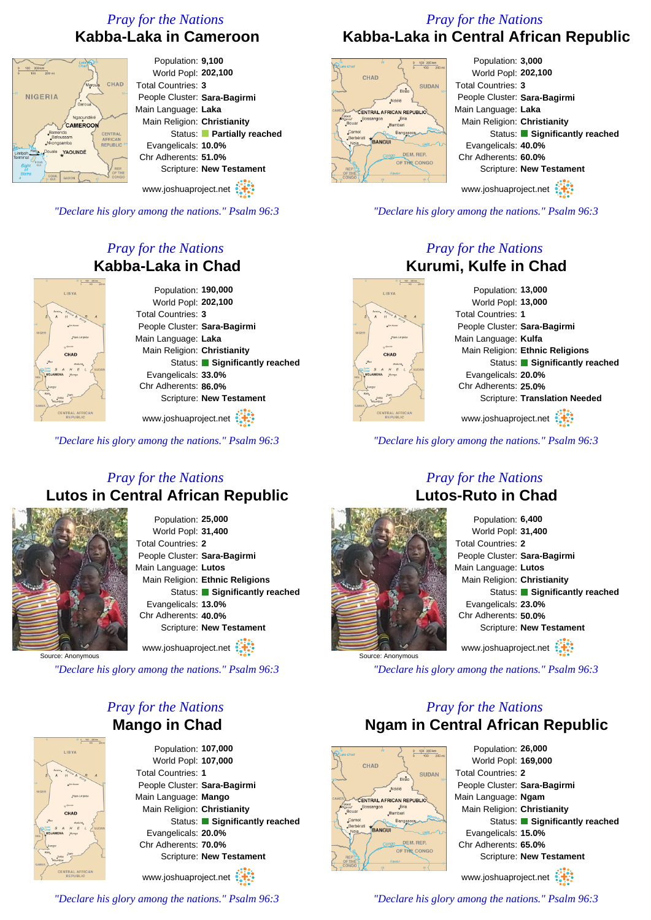# *Pray for the Nations* **Kabba-Laka in Cameroon**

#### Population: **9,100**  $0 100 200 km$ World Popl: **202,100** CHAD Total Countries: **3** NIGERIA People Cluster: **Sara-Bagirmi** Main Language: **Laka** Ngapu Main Religion: **Christianity** CAMEROON Status: **Partially reached** Evangelicals: **10.0%** YAOUNDÉ Chr Adherents: **51.0%** Scripture: **New Testament** www.joshuaproject.net

*"Declare his glory among the nations." Psalm 96:3*

# *Pray for the Nations* **Kabba-Laka in Chad**

| Population: 190,000           |
|-------------------------------|
| World Popl: 202,100           |
| <b>Total Countries: 3</b>     |
| People Cluster: Sara-Bagirmi  |
| Main Language: Laka           |
| Main Religion: Christianity   |
| Status: Significantly reached |
| Evangelicals: 33.0%           |
| Chr Adherents: 86.0%          |
| Scripture: New Testament      |
|                               |
|                               |

www.joshuaproject.net

*"Declare his glory among the nations." Psalm 96:3*

# *Pray for the Nations* **Lutos in Central African Republic**



Population: **25,000** World Popl: **31,400** Total Countries: **2** People Cluster: **Sara-Bagirmi** Main Language: **Lutos** Main Religion: **Ethnic Religions** Status: **Significantly reached** Evangelicals: **13.0%** Chr Adherents: **40.0%** Scripture: **New Testament** www.joshuaproject.net

Source: Anonymous

**TIRY** 

*"Declare his glory among the nations." Psalm 96:3*

# *Pray for the Nations* **Mango in Chad**

Population: **107,000** World Popl: **107,000** Total Countries: **1** People Cluster: **Sara-Bagirmi** Main Language: **Mango** Main Religion: **Christianity** Status: **Significantly reached** Evangelicals: **20.0%** Chr Adherents: **70.0%** Scripture: **New Testament** www.joshuaproject.net

*"Declare his glory among the nations." Psalm 96:3*

# *Pray for the Nations* **Kabba-Laka in Central African Republic**



**LIBY** 

CHAD

Population: **3,000** World Popl: **202,100** Total Countries: **3** People Cluster: **Sara-Bagirmi** Main Language: **Laka** Main Religion: **Christianity** Status: **Significantly reached** Evangelicals: **40.0%** Chr Adherents: **60.0%** Scripture: **New Testament**

www.joshuaproject.net

*"Declare his glory among the nations." Psalm 96:3*

# *Pray for the Nations* **Kurumi, Kulfe in Chad**

Population: **13,000** World Popl: **13,000** Total Countries: **1** People Cluster: **Sara-Bagirmi** Main Language: **Kulfa** Main Religion: **Ethnic Religions** Status: **Significantly reached** Evangelicals: **20.0%** Chr Adherents: **25.0%** Scripture: **Translation Needed** www.joshuaproject.net

*"Declare his glory among the nations." Psalm 96:3*

#### *Pray for the Nations* **Lutos-Ruto in Chad**



Population: **6,400** World Popl: **31,400** Total Countries: **2** People Cluster: **Sara-Bagirmi** Main Language: **Lutos** Main Religion: **Christianity** Status: **Significantly reached** Evangelicals: **23.0%** Chr Adherents: **50.0%** Scripture: **New Testament** www.joshuaproject.net

*"Declare his glory among the nations." Psalm 96:3*

# *Pray for the Nations* **Ngam in Central African Republic**



Population: **26,000** World Popl: **169,000** Total Countries: **2** People Cluster: **Sara-Bagirmi** Main Language: **Ngam** Main Religion: **Christianity** Status: **Significantly reached** Evangelicals: **15.0%** Chr Adherents: **65.0%** Scripture: **New Testament** www.joshuaproject.net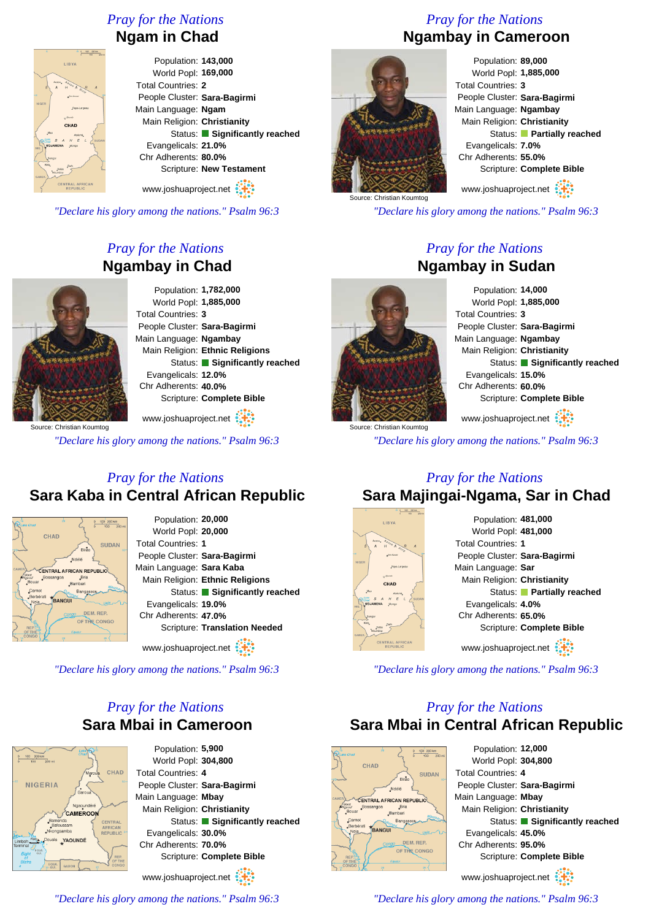# *Pray for the Nations*

#### **Ngam in Chad**

Population: **143,000** World Popl: **169,000** Total Countries: **2** People Cluster: **Sara-Bagirmi** Main Language: **Ngam** Main Religion: **Christianity** Status: **Significantly reached** Evangelicals: **21.0%** Chr Adherents: **80.0%** Scripture: **New Testament**

www.joshuaproject.net

*"Declare his glory among the nations." Psalm 96:3*

# *Pray for the Nations* **Ngambay in Chad**



Main Religion: **Ethnic Religions** Status: **Significantly reached** Scripture: **Complete Bible**

www.joshuaproject.net

*"Declare his glory among the nations." Psalm 96:3*

# *Pray for the Nations* **Sara Kaba in Central African Republic**



Source: Christian Koumtog

 $118V$ 

Population: **20,000** World Popl: **20,000** Total Countries: **1** People Cluster: **Sara-Bagirmi** Main Language: **Sara Kaba** Main Religion: **Ethnic Religions** Status: **Significantly reached** Evangelicals: **19.0%** Chr Adherents: **47.0%** Scripture: **Translation Needed**

www.joshuaproject.net

*"Declare his glory among the nations." Psalm 96:3*

# *Pray for the Nations* **Sara Mbai in Cameroon**



Population: **5,900** World Popl: **304,800** Total Countries: **4** People Cluster: **Sara-Bagirmi** Main Language: **Mbay** Main Religion: **Christianity** Status: **Significantly reached** Evangelicals: **30.0%** Chr Adherents: **70.0%** Scripture: **Complete Bible**

www.joshuaproject.net

*"Declare his glory among the nations." Psalm 96:3*

# *Pray for the Nations* **Ngambay in Cameroon**



Population: **89,000** World Popl: **1,885,000** Total Countries: **3** People Cluster: **Sara-Bagirmi** Main Language: **Ngambay** Main Religion: **Christianity** Status: **Partially reached** Evangelicals: **7.0%** Chr Adherents: **55.0%** Scripture: **Complete Bible**

www.joshuaproject.net

*"Declare his glory among the nations." Psalm 96:3*

# *Pray for the Nations* **Ngambay in Sudan**

Source: Christian Koumtog

Population: **14,000** World Popl: **1,885,000** Total Countries: **3** People Cluster: **Sara-Bagirmi** Main Language: **Ngambay** Main Religion: **Christianity** Status: **Significantly reached** Evangelicals: **15.0%** Chr Adherents: **60.0%** Scripture: **Complete Bible** www.joshuaproject.net

*"Declare his glory among the nations." Psalm 96:3*

#### *Pray for the Nations* **Sara Majingai-Ngama, Sar in Chad**



Population: **481,000** World Popl: **481,000** Total Countries: **1** People Cluster: **Sara-Bagirmi** Main Language: **Sar** Main Religion: **Christianity** Status: **Partially reached** Evangelicals: **4.0%** Chr Adherents: **65.0%** Scripture: **Complete Bible** www.joshuaproject.net

*"Declare his glory among the nations." Psalm 96:3*

# *Pray for the Nations* **Sara Mbai in Central African Republic**



Population: **12,000** World Popl: **304,800** Total Countries: **4** People Cluster: **Sara-Bagirmi** Main Language: **Mbay** Main Religion: **Christianity** Status: **Significantly reached** Evangelicals: **45.0%** Chr Adherents: **95.0%** Scripture: **Complete Bible** www.joshuaproject.net